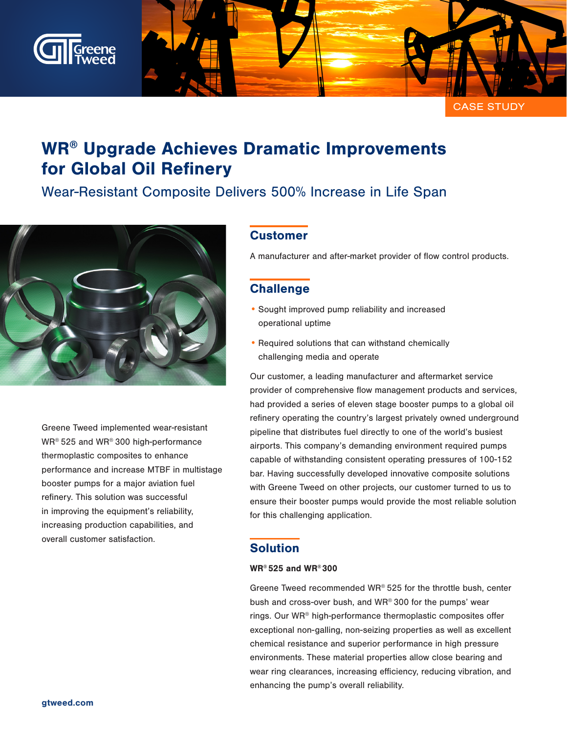

CASE STUDY

# WR® Upgrade Achieves Dramatic Improvements for Global Oil Refinery

## Wear-Resistant Composite Delivers 500% Increase in Life Span



Greene Tweed implemented wear-resistant WR® 525 and WR® 300 high-performance thermoplastic composites to enhance performance and increase MTBF in multistage booster pumps for a major aviation fuel refinery. This solution was successful in improving the equipment's reliability, increasing production capabilities, and overall customer satisfaction.

### **Customer**

A manufacturer and after-market provider of flow control products.

### **Challenge**

- Sought improved pump reliability and increased operational uptime
- Required solutions that can withstand chemically challenging media and operate

Our customer, a leading manufacturer and aftermarket service provider of comprehensive flow management products and services, had provided a series of eleven stage booster pumps to a global oil refinery operating the country's largest privately owned underground pipeline that distributes fuel directly to one of the world's busiest airports. This company's demanding environment required pumps capable of withstanding consistent operating pressures of 100-152 bar. Having successfully developed innovative composite solutions with Greene Tweed on other projects, our customer turned to us to ensure their booster pumps would provide the most reliable solution for this challenging application.

#### **Solution**

#### WR® 525 and WR® 300

Greene Tweed recommended WR® 525 for the throttle bush, center bush and cross-over bush, and WR® 300 for the pumps' wear rings. Our WR® high-performance thermoplastic composites offer exceptional non-galling, non-seizing properties as well as excellent chemical resistance and superior performance in high pressure environments. These material properties allow close bearing and wear ring clearances, increasing efficiency, reducing vibration, and enhancing the pump's overall reliability.